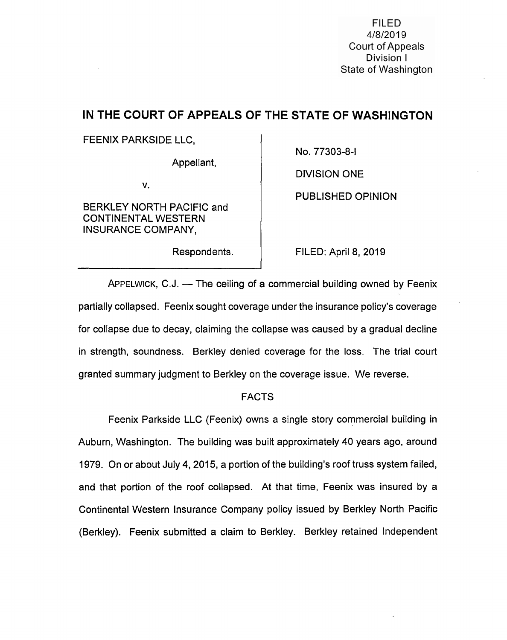**FILED** 4/8/2019 **Court of Appeals** Division I State of Washington

# IN THE COURT OF APPEALS OF THE STATE OF WASHINGTON

## FEENIX PARKSIDE LLC,

Appellant,

V.

BERKLEY NORTH PACIFIC and CONTINENTAL WESTERN INSURANCE COMPANY,

Respondents.

No. 77303-8-1

DIVISION ONE

PUBLISHED OPINION

FILED: April 8, 2019

APPELWICK, C.J. — The ceiling of a commercial building owned by Feenix partially collapsed. Feenix sought coverage under the insurance policy's coverage for collapse due to decay, claiming the collapse was caused by a gradual decline in strength, soundness. Berkley denied coverage for the loss. The trial court granted summary judgment to Berkley on the coverage issue. We reverse.

### FACTS

Feenix Parkside LLC (Feenix) owns a single story commercial building in Auburn, Washington. The building was built approximately 40 years ago, around 1979. On or about July 4, 2015, a portion of the building's roof truss system failed, and that portion of the roof collapsed. At that time, Feenix was insured by a Continental Western Insurance Company policy issued by Berkley North Pacific (Berkley). Feenix submitted a claim to Berkley. Berkley retained Independent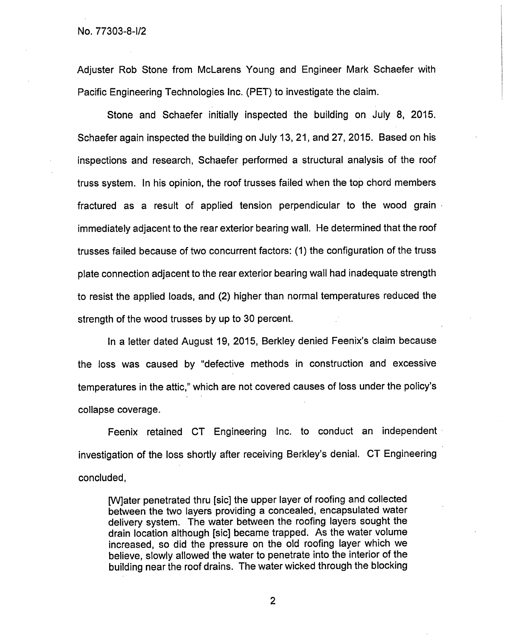Adjuster Rob Stone from McLarens Young and Engineer Mark Schaefer with Pacific Engineering Technologies Inc. (PET) to investigate the claim.

Stone and Schaefer initially inspected the building on July 8, 2015. Schaefer again inspected the building on July 13, 21, and 27, 2015. Based on his inspections and research, Schaefer performed a structural analysis of the roof truss system. In his opinion, the roof trusses failed when the top chord members fractured as a result of applied tension perpendicular to the wood grain immediately adjacent to the rear exterior bearing wall. He determined that the roof trusses failed because of two concurrent factors: (1) the configuration of the truss plate connection adjacent to the rear exterior bearing wall had inadequate strength to resist the applied loads, and (2) higher than normal temperatures reduced the strength of the wood trusses by up to 30 percent.

In a letter dated August 19, 2015, Berkley denied Feenix's claim because the loss was caused by "defective methods in construction and excessive temperatures in the attic," which are not covered causes of loss under the policy's collapse coverage.

Feenix retained CT Engineering Inc. to conduct an independent investigation of the loss shortly after receiving Berkley's denial. CT Engineering concluded,

[W]ater penetrated thru [sic] the upper layer of roofing and collected between the two layers providing a concealed, encapsulated water delivery system. The water between the roofing layers sought the drain location although [sic] became trapped. As the water volume increased, so did the pressure on the old roofing layer which we believe, slowly allowed the water to penetrate into the interior of the building near the roof drains. The water wicked through the blocking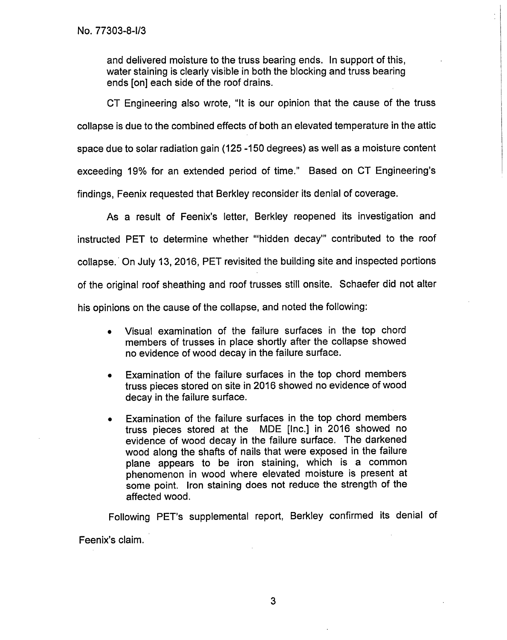and delivered moisture to the truss bearing ends. In support of this, water staining is clearly visible in both the blocking and truss bearing ends [on] each side of the roof drains.

CT Engineering also wrote, "It is our opinion that the cause of the truss collapse is due to the combined effects of both an elevated temperature in the attic space due to solar radiation gain (125 -150 degrees) as well as a moisture content exceeding 19% for an extended period of time." Based on CT Engineering's findings, Feenix requested that Berkley reconsider its denial of coverage.

As a result of Feenix's letter, Berkley reopened its investigation and instructed PET to determine whether "'hidden decay" contributed to the roof collapse. On July 13, 2016, PET revisited the building site and inspected portions of the original roof sheathing and roof trusses still onsite. Schaefer did not alter his opinions on the cause of the collapse, and noted the following:

- Visual examination of the failure surfaces in the top chord members of trusses in place shortly after the collapse showed no evidence of wood decay in the failure surface.
- Examination of the failure surfaces in the top chord members truss pieces stored on site in 2016 showed no evidence of wood decay in the failure surface.
- Examination of the failure surfaces in the top chord members truss pieces stored at the MDE [Inc.] in 2016 showed no evidence of wood decay in the failure surface. The darkened wood along the shafts of nails that were exposed in the failure plane appears to be iron staining, which is a common phenomenon in wood where elevated moisture is present at some point. Iron staining does not reduce the strength of the affected wood.

Following PET's supplemental report, Berkley confirmed its denial of

Feenix's claim.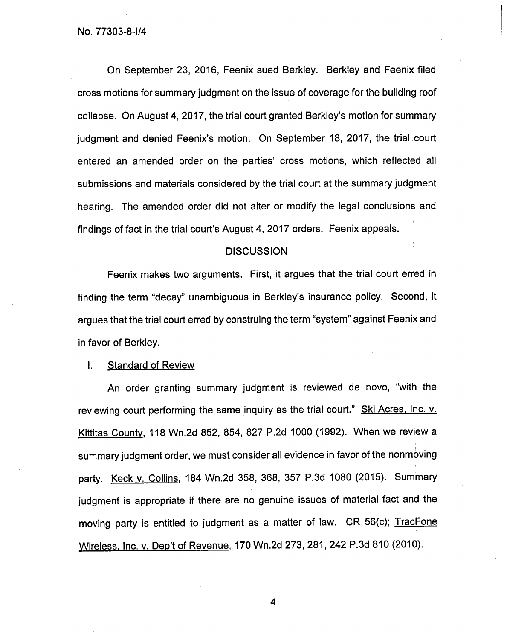On September 23, 2016, Feenix sued Berkley. Berkley and Feenix filed cross motions for summary judgment on the issue of coverage for the building roof collapse. On August 4, 2017, the trial court granted Berkley's motion for summary judgment and denied Feenix's motion. On September 18, 2017, the trial court entered an amended order on the parties' cross motions, which reflected all submissions and materials considered by the trial court at the summary judgment hearing. The amended order did not alter or modify the legal conclusions and findings of fact in the trial court's August 4, 2017 orders. Feenix appeals.

#### DISCUSSION

Feenix makes two arguments. First, it argues that the trial court erred in finding the term "decay" unambiguous in Berkley's insurance policy. Second, it argues that the trial court erred by construing the term "system" against Feenix and in favor of Berkley.

#### I. Standard of Review

An order granting summary judgment is reviewed de novo, "with the reviewing court performing the same inquiry as the trial court." Ski Acres, Inc. v. Kittitas County, 118 Wn.2d 852, 854, 827 P.2d 1000 (1992). When we review a summary judgment order, we must consider all evidence in favor of the nonmoving party. Keck v. Collins, 184 Wn.2d 358, 368, 357 P.3d 1080 (2015). Summary judgment is appropriate if there are no genuine issues of material fact and the moving party is entitled to judgment as a matter of law. CR 56(c); TracFone Wireless, Inc. v. Dep't of Revenue,170 Wn.2d 273, 281, 242 P.3d 810 (2010).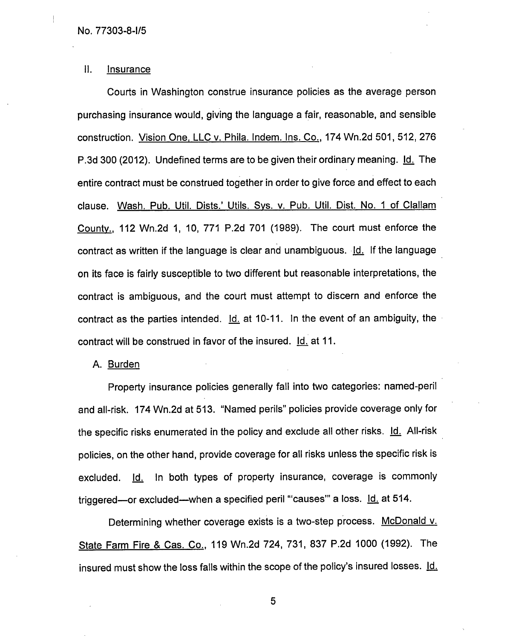#### II. Insurance

Courts in Washington construe insurance policies as the average person purchasing insurance would, giving the language a fair, reasonable, and sensible construction. Vision One, LLC v. Phila. lndem. Ins. Co., 174 Wn.2d 501, 512, 276 P.3d 300 (2012). Undefined terms are to be given their ordinary meaning. Id. The entire contract must be construed together in order to give force and effect to each clause. Wash. Pub. Util. Dists.' Utils. Sys. v. Pub. Util. Dist. No. 1 of Clallam County., 112 Wn.2d 1, 10, 771 P.2d 701 (1989). The court must enforce the contract as written if the language is clear and unambiguous.  $Id.$  If the language on its face is fairly susceptible to two different but reasonable interpretations, the contract is ambiguous, and the court must attempt to discern and enforce the contract as the parties intended. Id. at 10-11. In the event of an ambiguity, the contract will be construed in favor of the insured. Id. at 11.

### A. Burden

Property insurance policies generally fall into two categories: named-peril and all-risk. 174 Wn.2d at 513. "Named perils" policies provide coverage only for the specific risks enumerated in the policy and exclude all other risks. Id. All-risk policies, on the other hand, provide coverage for all risks unless the specific risk is excluded. Id. In both types of property insurance, coverage is commonly triggered—or excluded—when a specified peril "'causes'" a loss. Id. at 514.

Determining whether coverage exists is a two-step process. McDonald v. State Farm Fire & Cas. Co., 119 Wn.2d 724, 731, 837 P.2d 1000 (1992). The insured must show the loss falls within the scope of the policy's insured losses. Id.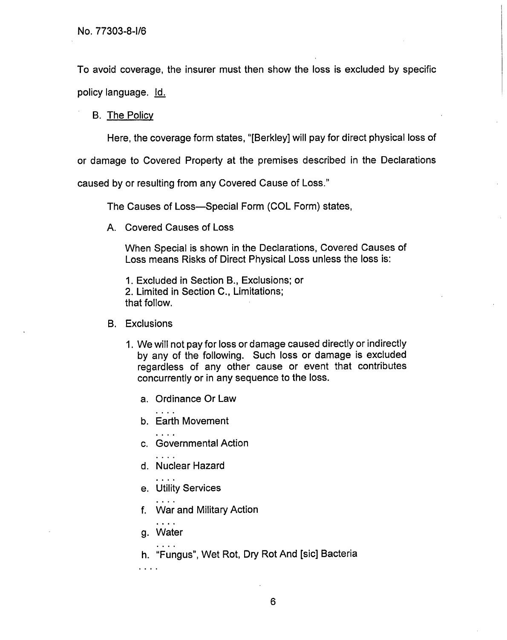To avoid coverage, the insurer must then show the loss is excluded by specific policy language. Id.

B. The Policy

Here, the coverage form states, "[Berkley] will pay for direct physical loss of

or damage to Covered Property at the premises described in the Declarations

caused by or resulting from any Covered Cause of Loss."

The Causes of Loss—Special Form (COL Form) states,

A. Covered Causes of Loss

When Special is shown in the Declarations, Covered Causes of Loss means Risks of Direct Physical Loss unless the loss is:

1. Excluded in Section B., Exclusions; or 2. Limited in Section C., Limitations; that follow.

### B. Exclusions

- 1. We will not pay for loss or damage caused directly or indirectly by any of the following. Such loss or damage is excluded regardless of any other cause or event that contributes concurrently or in any sequence to the loss.
	- a. Ordinance Or Law
	- b. Earth Movement

. . . .

- c. Governmental Action
- d. Nuclear Hazard
- e. Utility Services
- f. War and Military Action
- $\cdots$ g. Water

. . . .

 $\ldots$ 

- 
- h. "Fungus", Wet Rot, Dry Rot And [sic] Bacteria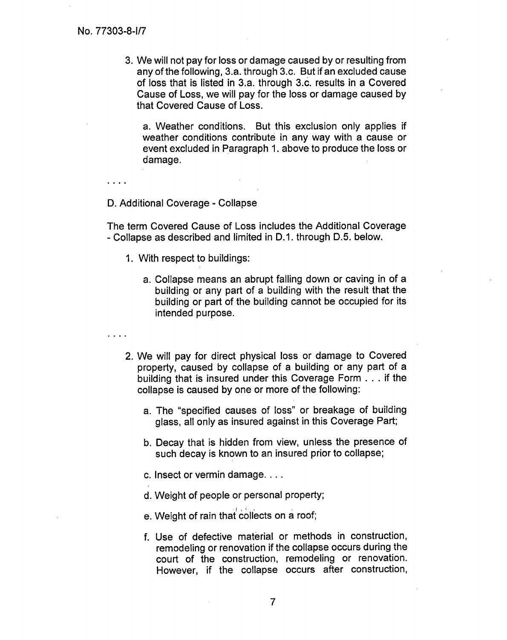3. We will not pay for loss or damage caused by or resulting from any of the following, 3.a. through 3.c. But if an excluded cause of loss that is listed in 3.a. through 3.c. results in a Covered Cause of Loss, we will pay for the loss or damage caused by that Covered Cause of Loss.

a. Weather conditions. But this exclusion only applies if weather conditions contribute in any way with a cause or event excluded in Paragraph 1. above to produce the loss or damage.

#### D. Additional Coverage - Collapse

The term Covered Cause of Loss includes the Additional Coverage - Collapse as described and limited in D.1. through D.5. below.

- 1. With respect to buildings:
	- a. Collapse means an abrupt falling down or caving in of a building or any part of a building with the result that the building or part of the building cannot be occupied for its intended purpose.
- - 2. We will pay for direct physical loss or damage to Covered property, caused by collapse of a building or any part of a building that is insured under this Coverage Form . . . if the collapse is caused by one or more of the following:
		- a. The "specified causes of loss" or breakage of building glass, all only as insured against in this Coverage Part;
		- b. Decay that is hidden from view, unless the presence of such decay is known to an insured prior to collapse;
		- c. Insect or vermin damage. . . .
		- d. Weight of people or personal property;
		- e. Weight of rain that collects on a roof;
		- f. Use of defective material or methods in construction, remodeling or renovation if the collapse occurs during the court of the construction, remodeling or renovation. However, if the collapse occurs after construction,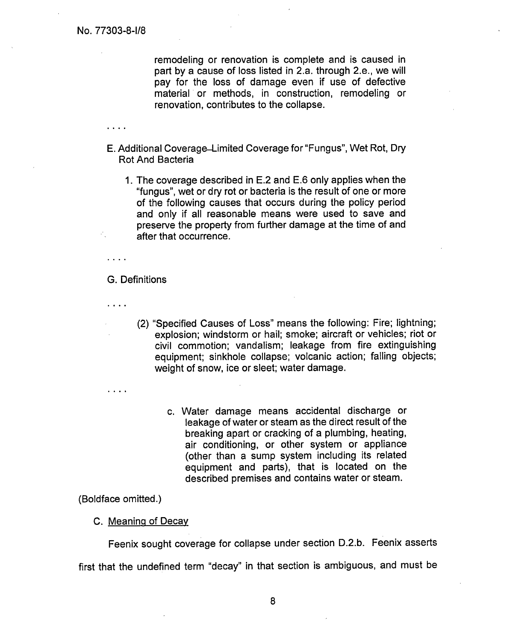$\mathbf{1}$   $\mathbf{1}$   $\mathbf{1}$   $\mathbf{1}$ 

remodeling or renovation is complete and is caused in part by a cause of loss listed in 2.a. through 2.e., we will pay for the loss of damage even if use of defective material or methods, in construction, remodeling or renovation, contributes to the collapse.

- E. Additional Coverage—Limited Coverage for "Fungus", Wet Rot, Dry Rot And Bacteria
	- 1. The coverage described in E.2 and E.6 only applies when the "fungus", wet or dry rot or bacteria is the result of one or more of the following causes that occurs during the policy period and only if all reasonable means were used to save and preserve the property from further damage at the time of and after that occurrence.

G. Definitions

 $\sim$   $\sim$   $\sim$   $\sim$ 

 $\cdots$ 

- (2) "Specified Causes of Loss" means the following: Fire; lightning; explosion; windstorm or hail; smoke; aircraft or vehicles; riot or civil commotion; vandalism; leakage from fire extinguishing equipment; sinkhole collapse; volcanic action; falling objects; weight of snow, ice or sleet; water damage.
	- c. Water damage means accidental discharge or leakage of water or steam as the direct result of the breaking apart or cracking of a plumbing, heating, air conditioning, or other system or appliance (other than a sump system including its related equipment and parts), that is located on the described premises and contains water or steam.

(Boldface omitted.)

### C. Meaning of Decay

Feenix sought coverage for collapse under section D.2.b. Feenix asserts first that the undefined term "decay" in that section is ambiguous, and must be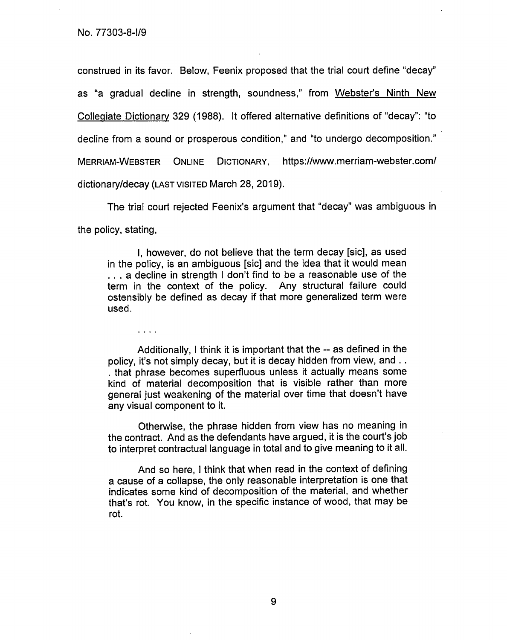No. 77303-8-1/9

construed in its favor. Below, Feenix proposed that the trial court define "decay" as "a gradual decline in strength, soundness," from Webster's Ninth New Collegiate Dictionary 329 (1988). It offered alternative definitions of "decay": "to decline from a sound or prosperous condition," and "to undergo decomposition." MERRIAM-WEBSTER ONLINE DICTIONARY, https://vvww.merriam-webster.com/ dictionary/decay (LAST VISITED March 28, 2019).

The trial court rejected Feenix's argument that "decay" was ambiguous in

the policy, stating,

**Contractor** 

1, however, do not believe that the term decay [sic], as used in the policy, is an ambiguous [sic] and the idea that it would mean . . . a decline in strength I don't find to be a reasonable use of the term in the context of the policy. Any structural failure could ostensibly be defined as decay if that more generalized term were used.

Additionally, 1 think it is important that the -- as defined in the policy, it's not simply decay, but it is decay hidden from view, and . . . that phrase becomes superfluous unless it actually means some kind of material decomposition that is visible rather than more general just weakening of the material over time that doesn't have any visual component to it.

Otherwise, the phrase hidden from view has no meaning in the contract. And as the defendants have argued, it is the court's job to interpret contractual language in total and to give meaning to it all.

And so here, I think that when read in the context of defining a cause of a collapse, the only reasonable interpretation is one that indicates some kind of decomposition of the material, and whether that's rot. You know, in the specific instance of wood, that may be rot.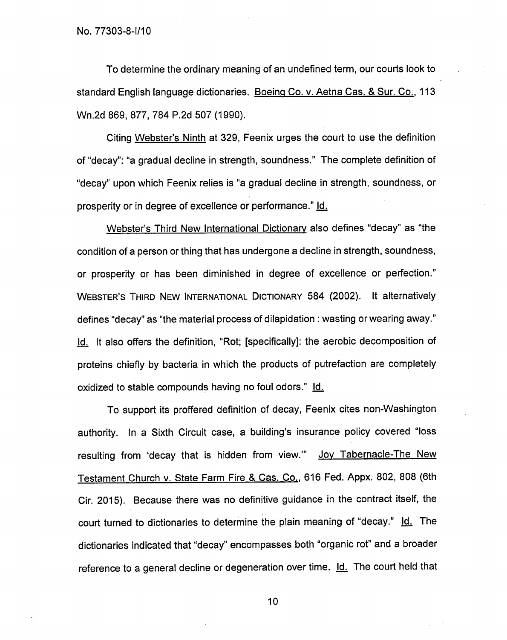No. 77303-8-1/10

To determine the ordinary meaning of an undefined term, our courts look to standard English language dictionaries. Boeing Co. v. Aetna Cas. & Sur. Co., 113 Wn.2d 869, 877, 784 P.2d 507 (1990).

Citing Webster's Ninth at 329, Feenix urges the court to use the definition of "decay": "a gradual decline in strength, soundness." The complete definition of "decay" upon which Feenix relies is "a gradual decline in strength, soundness, or prosperity or in degree of excellence or performance." Id.

Webster's Third New International Dictionary also defines "decay" as "the condition of a person or thing that has undergone a decline in strength, soundness, or prosperity or has been diminished in degree of excellence or perfection." WEBSTER'S THIRD NEW INTERNATIONAL DICTIONARY 584 (2002). It alternatively defines "decay" as "the material process of dilapidation : wasting or wearing away." Id. It also offers the definition, "Rot; [specifically]: the aerobic decomposition of proteins chiefly by bacteria in which the products of putrefaction are completely oxidized to stable compounds having no foul odors." Id.

To support its proffered definition of decay, Feenix cites non-Washington authority. In a Sixth Circuit case, a building's insurance policy covered "loss resulting from 'decay that is hidden from view." Joy Tabernacle-The New Testament Church v. State Farm Fire & Cas. Co., 616 Fed. Appx. 802, 808 (6th Cir. 2015). Because there was no definitive guidance in the contract itself, the court turned to dictionaries to determine the plain meaning of "decay." Id. The dictionaries indicated that "decay" encompasses both "organic rot" and a broader reference to a general decline or degeneration over time. Id. The court held that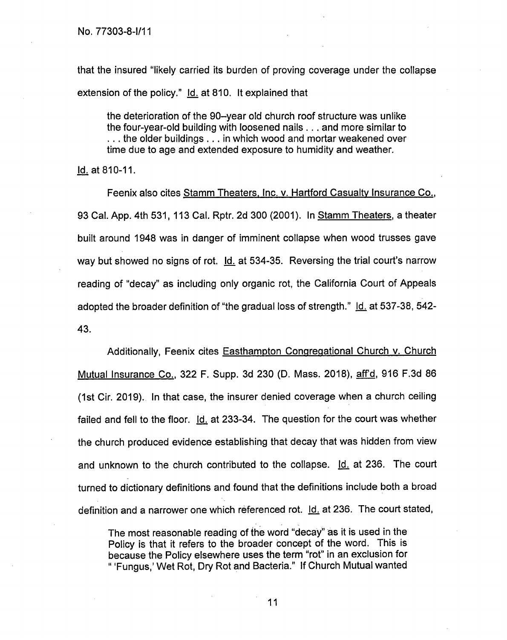that the insured "likely carried its burden of proving coverage under the collapse extension of the policy." Id. at 810. It explained that

the deterioration of the 90—year old church roof structure was unlike the four-year-old building with loosened nails. . . and more similar to . . . the older buildings. . . in which wood and mortar weakened over time due to age and extended exposure to humidity and weather.

Id. at 810-11.

Feenix also cites Stamm Theaters, Inc. v. Hartford Casualty Insurance Co., 93 Cal. App. 4th 531, 113 Cal. Rptr. 2d 300 (2001). In Stamm Theaters, a theater built around 1948 was in danger of imminent collapse when wood trusses gave way but showed no signs of rot. Id. at 534-35. Reversing the trial court's narrow reading of "decay" as including only organic rot, the California Court of Appeals adopted the broader definition of "the gradual loss of strength." Id. at 537-38, 542- 43.

Additionally, Feenix cites Easthampton Congregational Church v. Church Mutual Insurance Co., 322 F. Supp. 3d 230 (D. Mass. 2018), aff'd, 916 F.3d 86 (1st Cir. 2019). In that case, the insurer denied coverage when a church ceiling failed and fell to the floor. Id. at 233-34. The question for the court was whether the church produced evidence establishing that decay that was hidden from view and unknown to the church contributed to the collapse. Id. at 236. The court turned to dictionary definitions and found that the definitions include both a broad definition and a narrower one which referenced rot. Id. at 236. The court stated,

The most reasonable reading of the word "decay" as it is used in the Policy is that it refers to the broader concept of the word. This is because the Policy elsewhere uses the term "rot" in an exclusion for "'Fungus,' Wet Rot, Dry Rot and Bacteria." If Church Mutual wanted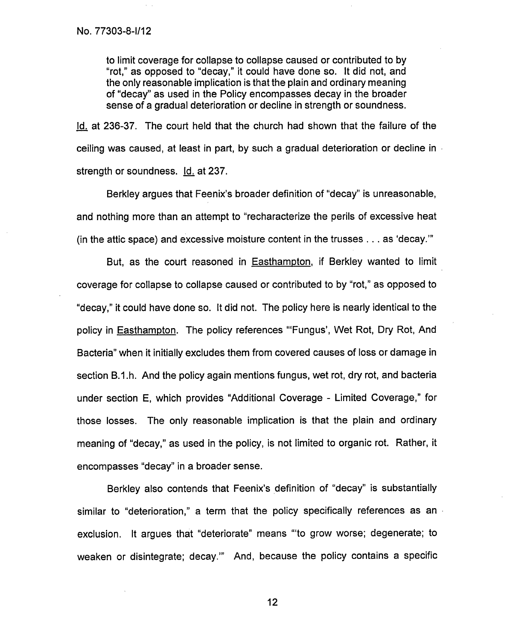to limit coverage for collapse to collapse caused or contributed to by "rot," as opposed to "decay," it could have done so. It did not, and the only reasonable implication is that the plain and ordinary meaning of "decay" as used in the Policy encompasses decay in the broader sense of a gradual deterioration or decline in strength or soundness.

Id. at 236-37. The court held that the church had shown that the failure of the ceiling was caused, at least in part, by such a gradual deterioration or decline in strength or soundness. Id. at 237.

Berkley argues that Feenix's broader definition of "decay" is unreasonable, and nothing more than an attempt to "recharacterize the perils of excessive heat (in the attic space) and excessive moisture content in the trusses . . . as 'decay."

But, as the court reasoned in Easthampton, if Berkley wanted to limit coverage for collapse to collapse caused or contributed to by "rot," as opposed to "decay," it could have done so. It did not. The policy here is nearly identical to the policy in Easthampton. The policy references "'Fungus', Wet Rot, Dry Rot, And Bacteria" when it initially excludes them from covered causes of loss or damage in section B.1.h. And the policy again mentions fungus, wet rot, dry rot, and bacteria under section E, which provides "Additional Coverage - Limited Coverage," for those losses. The only reasonable implication is that the plain and ordinary meaning of "decay," as used in the policy, is not limited to organic rot. Rather, it encompasses "decay" in a broader sense.

Berkley also contends that Feenix's definition of "decay" is substantially similar to "deterioration," a term that the policy specifically references as an exclusion. It argues that "deteriorate" means "to grow worse; degenerate; to weaken or disintegrate; decay." And, because the policy contains a specific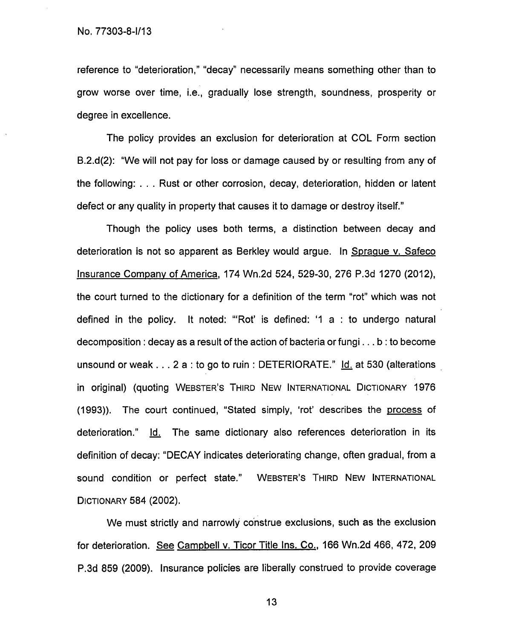reference to "deterioration," "decay" necessarily means something other than to grow worse over time, i.e., gradually lose strength, soundness, prosperity or degree in excellence.

The policy provides an exclusion for deterioration at COL Form section B.2.d(2): "We will not pay for loss or damage caused by or resulting from any of the following: . . . Rust or other corrosion, decay, deterioration, hidden or latent defect or any quality in property that causes it to damage or destroy itself."

Though the policy uses both terms, a distinction between decay and deterioration is not so apparent as Berkley would argue. In Sprague v. Safeco Insurance Company of America, 174 Wn.2d 524, 529-30, 276 P.3d 1270 (2012), the court turned to the dictionary for a definition of the term "rot" which was not defined in the policy. It noted: "Rot' is defined: '1 a : to undergo natural decomposition : decay as a result of the action of bacteria or fungi. . . b : to become unsound or weak...  $2 a : to go to ruin : DETERIORATE." Id. at 530 (alternations$ in original) (quoting WEBSTER'S THIRD NEW INTERNATIONAL DICTIONARY 1976 (1993)). The court continued, "Stated simply, 'rot' describes the process of deterioration."  $Id.$  The same dictionary also references deterioration in its definition of decay: "DECAY indicates deteriorating change, often gradual, from a sound condition or perfect state." WEBSTER'S THIRD NEW INTERNATIONAL DICTIONARY 584 (2002).

We must strictly and narrowly construe exclusions, such as the exclusion for deterioration. See Campbell v. Ticor Title Ins. Co., 166 Wn.2d 466, 472, 209 P.3d 859 (2009). Insurance policies are liberally construed to provide coverage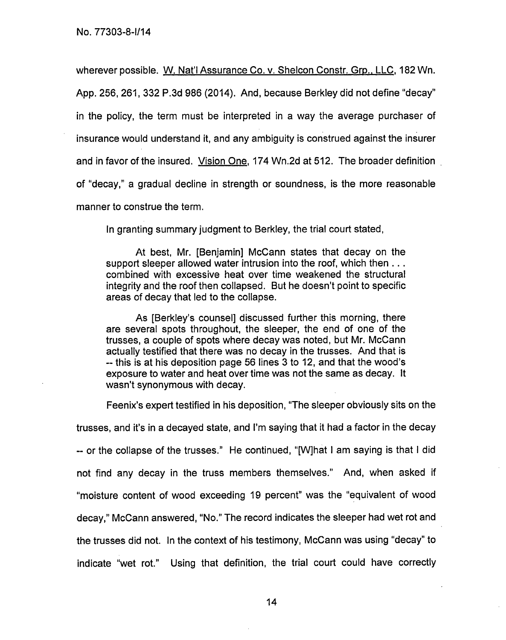wherever possible. W. Nat'l Assurance Co. v. Shelcon Constr. Grp., LLC, 182 Wn. App. 256, 261, 332 P.3d 986 (2014). And, because Berkley did not define "decay" in the policy, the term must be interpreted in a way the average purchaser of insurance would understand it, and any ambiguity is construed against the insurer and in favor of the insured. Vision One, 174 Wn.2d at 512. The broader definition of "decay," a gradual decline in strength or soundness, is the more reasonable manner to construe the term.

In granting summary judgment to Berkley, the trial court stated,

At best, Mr. [Benjamin] McCann states that decay on the support sleeper allowed water intrusion into the roof, which then  $\dots$ combined with excessive heat over time weakened the structural integrity and the roof then collapsed. But he doesn't point to specific areas of decay that led to the collapse.

As [Berkley's counsel] discussed further this morning, there are several spots throughout, the sleeper, the end of one of the trusses, a couple of spots where decay was noted, but Mr. McCann actually testified that there was no decay in the trusses. And that is -- this is at his deposition page 56 lines 3 to 12, and that the wood's exposure to water and heat over time was not the same as decay. It wasn't synonymous with decay.

Feenix's expert testified in his deposition, "The sleeper obviously sits on the

trusses, and it's in a decayed state, and I'm saying that it had a factor in the decay -- or the collapse of the trusses." He continued, "[W]hat I am saying is that I did not find any decay in the truss members themselves." And, when asked if "moisture content of wood exceeding 19 percent" was the "equivalent of wood decay," McCann answered, "No." The record indicates the sleeper had wet rot and the trusses did not. In the context of his testimony, McCann was using "decay" to indicate "wet rot." Using that definition, the trial court could have correctly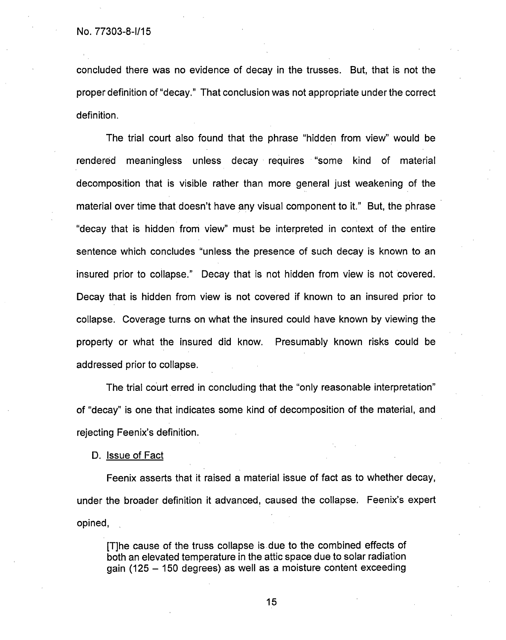concluded there was no evidence of decay in the trusses. But, that is not the proper definition of "decay." That conclusion was not appropriate under the correct definition.

The trial court also found that the phrase "hidden from view" would be rendered meaningless unless decay requires "some kind of material decomposition that is visible rather than more general just weakening of the material over time that doesn't have any visual component to it." But, the phrase "decay that is hidden from view" must be interpreted in context of the entire sentence which concludes "unless the presence of such decay is known to an insured prior to collapse." Decay that is not hidden from view is not covered. Decay that is hidden from view is not covered if known to an insured prior to collapse. Coverage turns on what the insured could have known by viewing the property or what the insured did know. Presumably known risks could be addressed prior to collapse.

The trial court erred in concluding that the "only reasonable interpretation" of "decay" is one that indicates some kind of decomposition of the material, and rejecting Feenix's definition.

D. Issue of Fact

Feenix asserts that it raised a material issue of fact as to whether decay, under the broader definition it advanced, caused the collapse. Feenix's expert opined,

[T]he cause of the truss collapse is due to the combined effects of both an elevated temperature in the attic space due to solar radiation gain (125 — 150 degrees) as well as a moisture content exceeding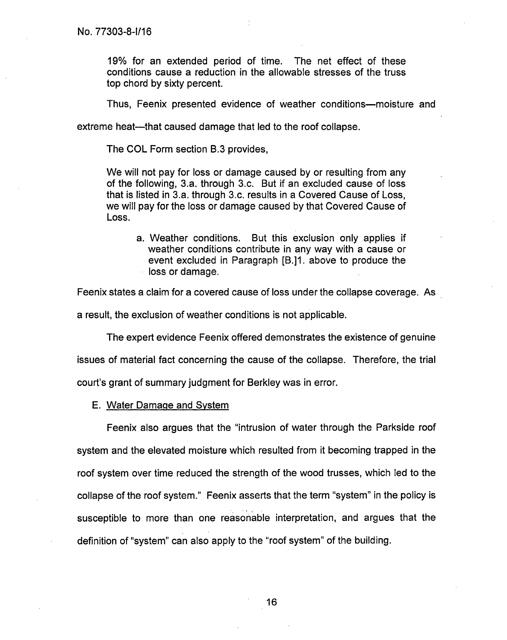19% for an extended period of time. The net effect of these conditions cause a reduction in the allowable stresses of the truss top chord by sixty percent.

Thus, Feenix presented evidence of weather conditions—moisture and

extreme heat—that caused damage that led to the roof collapse.

The COL Form section B.3 provides,

We will not pay for loss or damage caused by or resulting from any of the following, 3.a. through 3.c. But if an excluded cause of loss that is listed in 3.a. through 3.c. results in a Covered Cause of Loss, we will pay for the loss or damage caused by that Covered Cause of Loss.

a. Weather conditions. But this exclusion only applies if weather conditions contribute in any way with a cause or event excluded in Paragraph [B.]1. above to produce the loss or damage.

Feenix states a claim for a covered cause of loss under the collapse coverage. As

a result, the exclusion of weather conditions is not applicable.

The expert evidence Feenix offered demonstrates the existence of genuine

issues of material fact concerning the cause of the collapse. Therefore, the trial court's grant of summary judgment for Berkley was in error.

E. Water Damage and System

Feenix also argues that the "intrusion of water through the Parkside roof system and the elevated moisture which resulted from it becoming trapped in the roof system over time reduced the strength of the wood trusses, which led to the collapse of the roof system." Feenix asserts that the term "system" in the policy is susceptible to more than one reasonable interpretation, and argues that the definition of "system" can also apply to the "roof system" of the building.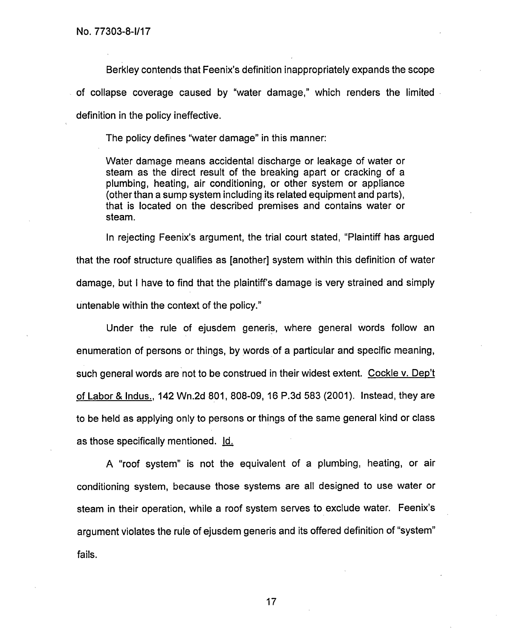Berkley contends that Feenix's definition inappropriately expands the scope of collapse coverage caused by "water damage," which renders the limited definition in the policy ineffective.

The policy defines "water damage" in this manner:

Water damage means accidental discharge or leakage of water or steam as the direct result of the breaking apart or cracking of a plumbing, heating, air conditioning, or other system or appliance (other than a sump system including its related equipment and parts), that is located on the described premises and contains water or steam.

In rejecting Feenix's argument, the trial court stated, "Plaintiff has argued that the roof structure qualifies as [another] system within this definition of water damage, but I have to find that the plaintiff's damage is very strained and simply untenable within the context of the policy."

Under the rule of ejusdem generis, where general words follow an enumeration of persons or things, by words of a particular and specific meaning, such general words are not to be construed in their widest extent. Cockle v. Dep't of Labor & Indus., 142 Wn.2d 801, 808-09, 16 P.3d 583 (2001). Instead, they are to be held as applying only to persons or things of the same general kind or class as those specifically mentioned. Id.

A "roof system" is not the equivalent of a plumbing, heating, or air conditioning system, because those systems are all designed to use water or steam in their operation, while a roof system serves to exclude water. Feenix's argument violates the rule of eiusdem generis and its offered definition of "system" fails.